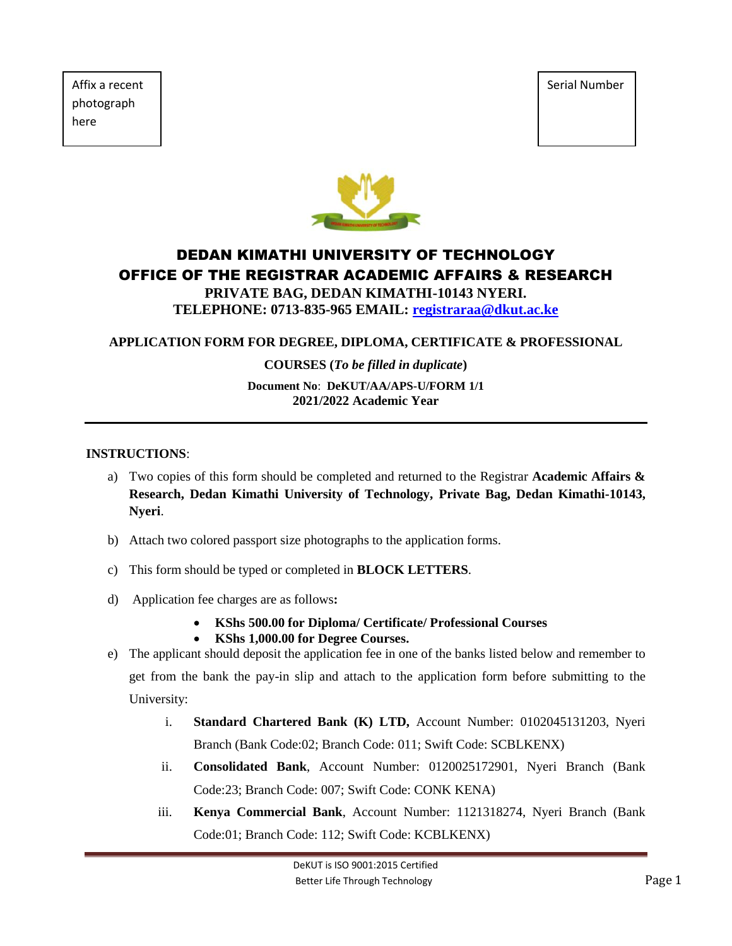Affix a recent  $\vert$  Serial Number  $\vert$  Serial Number  $\vert$  Serial Number photograph here



# DEDAN KIMATHI UNIVERSITY OF TECHNOLOGY OFFICE OF THE REGISTRAR ACADEMIC AFFAIRS & RESEARCH

**PRIVATE BAG, DEDAN KIMATHI-10143 NYERI. TELEPHONE: 0713-835-965 EMAIL: [registraraa@dkut.ac.ke](mailto:registraraa@dkut.ac.ke)**

# **APPLICATION FORM FOR DEGREE, DIPLOMA, CERTIFICATE & PROFESSIONAL**

#### **COURSES (***To be filled in duplicate***)**

#### **Document No**: **DeKUT/AA/APS-U/FORM 1/1 2021/2022 Academic Year**

#### **INSTRUCTIONS**:

- a) Two copies of this form should be completed and returned to the Registrar **Academic Affairs & Research, Dedan Kimathi University of Technology, Private Bag, Dedan Kimathi-10143, Nyeri**.
- b) Attach two colored passport size photographs to the application forms.
- c) This form should be typed or completed in **BLOCK LETTERS**.
- d) Application fee charges are as follows**:** 
	- **KShs 500.00 for Diploma/ Certificate/ Professional Courses**
	- **KShs 1,000.00 for Degree Courses.**
- e) The applicant should deposit the application fee in one of the banks listed below and remember to get from the bank the pay-in slip and attach to the application form before submitting to the University:
	- i. **Standard Chartered Bank (K) LTD,** Account Number: 0102045131203, Nyeri Branch (Bank Code:02; Branch Code: 011; Swift Code: SCBLKENX)
	- ii. **Consolidated Bank**, Account Number: 0120025172901, Nyeri Branch (Bank Code:23; Branch Code: 007; Swift Code: CONK KENA)
	- iii. **Kenya Commercial Bank**, Account Number: 1121318274, Nyeri Branch (Bank Code:01; Branch Code: 112; Swift Code: KCBLKENX)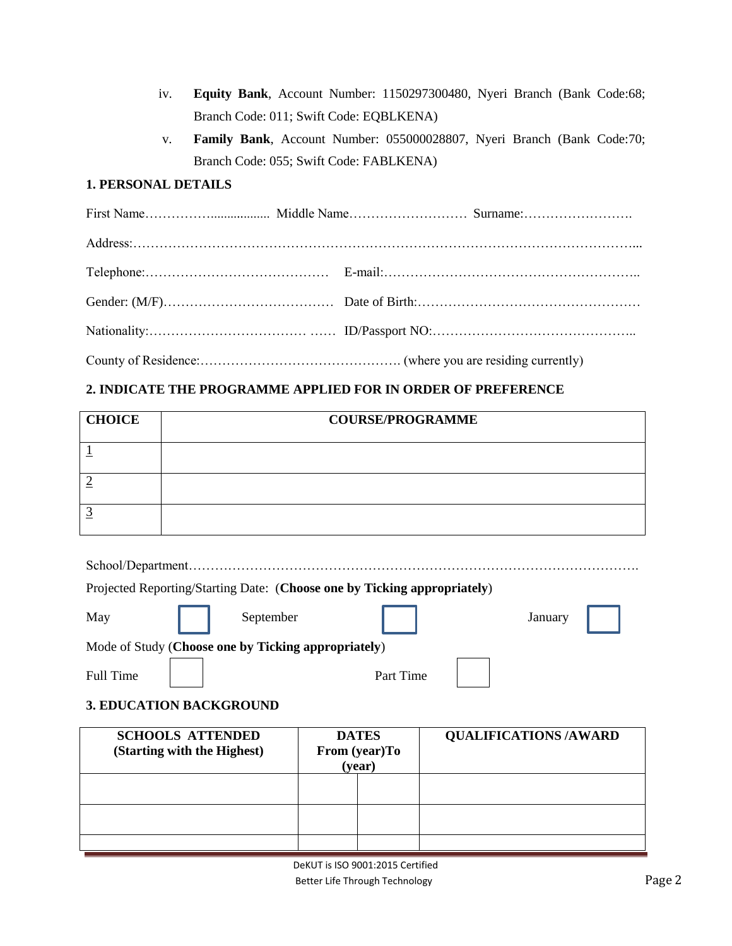- iv. **Equity Bank**, Account Number: 1150297300480, Nyeri Branch (Bank Code:68; Branch Code: 011; Swift Code: EQBLKENA)
- v. **Family Bank**, Account Number: 055000028807, Nyeri Branch (Bank Code:70; Branch Code: 055; Swift Code: FABLKENA)

# **1. PERSONAL DETAILS**

# **2. INDICATE THE PROGRAMME APPLIED FOR IN ORDER OF PREFERENCE**

| <b>CHOICE</b> | <b>COURSE/PROGRAMME</b> |
|---------------|-------------------------|
|               |                         |
|               |                         |
|               |                         |

| Projected Reporting/Starting Date: (Choose one by Ticking appropriately) |           |         |  |  |  |  |
|--------------------------------------------------------------------------|-----------|---------|--|--|--|--|
| May<br>September                                                         |           | January |  |  |  |  |
| Mode of Study (Choose one by Ticking appropriately)                      |           |         |  |  |  |  |
| Full Time                                                                | Part Time |         |  |  |  |  |

# **3. EDUCATION BACKGROUND**

| <b>SCHOOLS ATTENDED</b><br>(Starting with the Highest) | <b>DATES</b><br>From (year)To<br>(year) |  | <b>QUALIFICATIONS /AWARD</b> |
|--------------------------------------------------------|-----------------------------------------|--|------------------------------|
|                                                        |                                         |  |                              |
|                                                        |                                         |  |                              |
|                                                        |                                         |  |                              |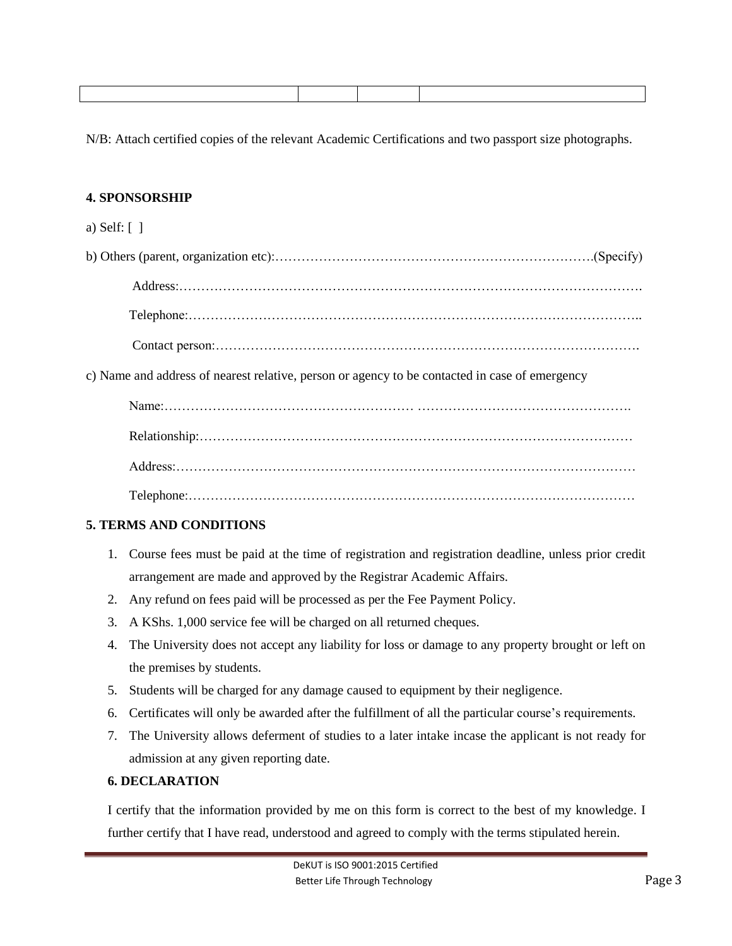N/B: Attach certified copies of the relevant Academic Certifications and two passport size photographs.

# **4. SPONSORSHIP**

#### a) Self: [ ]

b) Others (parent, organization etc):……………………………………………………………….(Specify) Address:……………………………………………………………………………………………. Telephone:………………………………………………………………………………………….. Contact person:…………………………………………………………………………………….

c) Name and address of nearest relative, person or agency to be contacted in case of emergency

# **5. TERMS AND CONDITIONS**

- 1. Course fees must be paid at the time of registration and registration deadline, unless prior credit arrangement are made and approved by the Registrar Academic Affairs.
- 2. Any refund on fees paid will be processed as per the Fee Payment Policy.
- 3. A KShs. 1,000 service fee will be charged on all returned cheques.
- 4. The University does not accept any liability for loss or damage to any property brought or left on the premises by students.
- 5. Students will be charged for any damage caused to equipment by their negligence.
- 6. Certificates will only be awarded after the fulfillment of all the particular course's requirements.
- 7. The University allows deferment of studies to a later intake incase the applicant is not ready for admission at any given reporting date.

# **6. DECLARATION**

I certify that the information provided by me on this form is correct to the best of my knowledge. I further certify that I have read, understood and agreed to comply with the terms stipulated herein.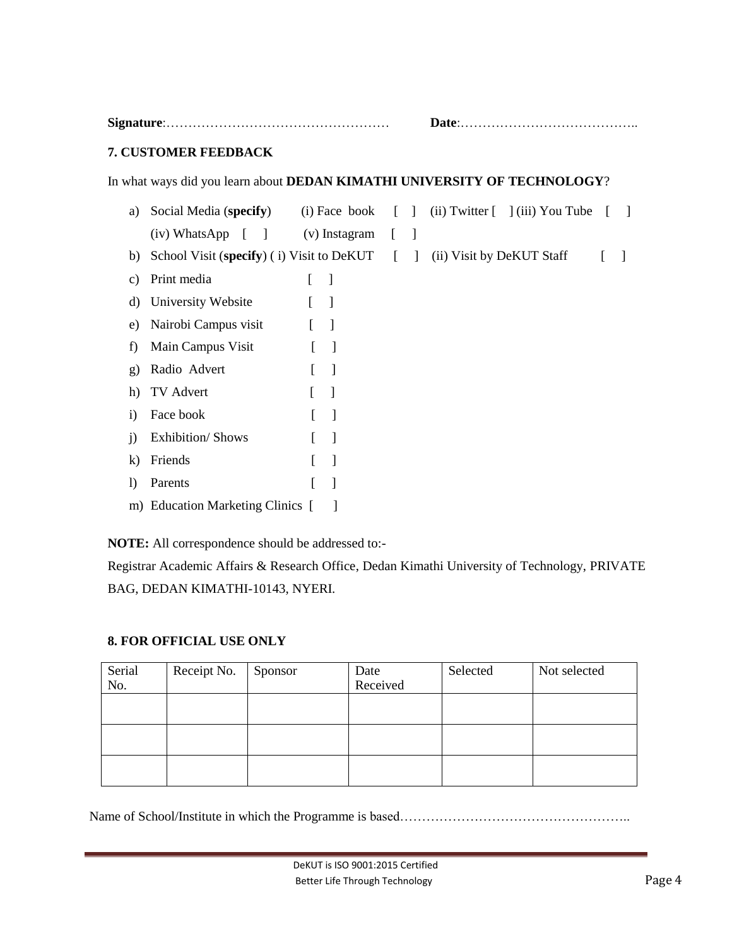|                             |                                                                                 |               | $\mathbf{Date}$ : |  |                                                                                                                                                                |  |
|-----------------------------|---------------------------------------------------------------------------------|---------------|-------------------|--|----------------------------------------------------------------------------------------------------------------------------------------------------------------|--|
| <b>7. CUSTOMER FEEDBACK</b> |                                                                                 |               |                   |  |                                                                                                                                                                |  |
|                             |                                                                                 |               |                   |  | In what ways did you learn about DEDAN KIMATHI UNIVERSITY OF TECHNOLOGY?                                                                                       |  |
| a)                          | Social Media (specify)                                                          |               |                   |  | (i) Face book $\begin{bmatrix} 1 \\ 0 \end{bmatrix}$ (ii) Twitter $\begin{bmatrix} 1 \\ 0 \end{bmatrix}$ (iii) You Tube $\begin{bmatrix} 1 \\ 0 \end{bmatrix}$ |  |
|                             | $(iv)$ WhatsApp $\lceil \rceil$                                                 | (v) Instagram |                   |  |                                                                                                                                                                |  |
| b)                          | School Visit (specify) (i) Visit to DeKUT $\begin{bmatrix} \quad \end{bmatrix}$ |               |                   |  | (ii) Visit by DeKUT Staff                                                                                                                                      |  |
| C)                          | Print media                                                                     |               |                   |  |                                                                                                                                                                |  |
| d)                          | University Website                                                              |               |                   |  |                                                                                                                                                                |  |
| e)                          | Nairobi Campus visit                                                            |               |                   |  |                                                                                                                                                                |  |
| f)                          | Main Campus Visit                                                               |               |                   |  |                                                                                                                                                                |  |

# **NOTE:** All correspondence should be addressed to:-

g) Radio Advert [ ] h) TV Advert [ ] i) Face book [ ] j) Exhibition/ Shows [ ] k) Friends [ ]

l) Parents [ ] m) Education Marketing Clinics [ ]

Registrar Academic Affairs & Research Office, Dedan Kimathi University of Technology, PRIVATE BAG, DEDAN KIMATHI-10143, NYERI.

# **8. FOR OFFICIAL USE ONLY**

| Serial<br>No. | Receipt No. | Sponsor | Date<br>Received | Selected | Not selected |
|---------------|-------------|---------|------------------|----------|--------------|
|               |             |         |                  |          |              |
|               |             |         |                  |          |              |
|               |             |         |                  |          |              |

Name of School/Institute in which the Programme is based………………………………………………………………